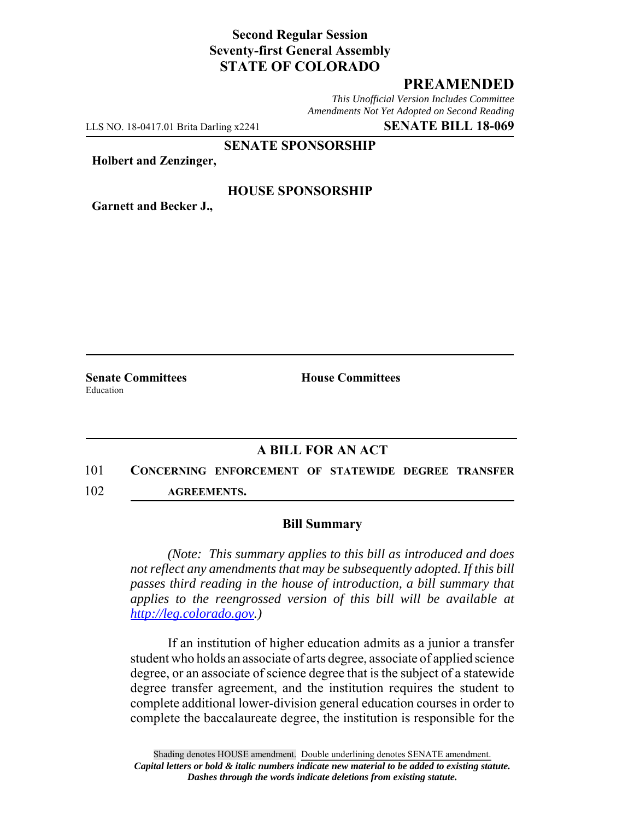# **Second Regular Session Seventy-first General Assembly STATE OF COLORADO**

### **PREAMENDED**

*This Unofficial Version Includes Committee Amendments Not Yet Adopted on Second Reading*

LLS NO. 18-0417.01 Brita Darling x2241 **SENATE BILL 18-069**

**SENATE SPONSORSHIP**

**Holbert and Zenzinger,**

#### **HOUSE SPONSORSHIP**

**Garnett and Becker J.,**

Education

**Senate Committees House Committees** 

### **A BILL FOR AN ACT**

# 101 **CONCERNING ENFORCEMENT OF STATEWIDE DEGREE TRANSFER** 102 **AGREEMENTS.**

#### **Bill Summary**

*(Note: This summary applies to this bill as introduced and does not reflect any amendments that may be subsequently adopted. If this bill passes third reading in the house of introduction, a bill summary that applies to the reengrossed version of this bill will be available at http://leg.colorado.gov.)*

If an institution of higher education admits as a junior a transfer student who holds an associate of arts degree, associate of applied science degree, or an associate of science degree that is the subject of a statewide degree transfer agreement, and the institution requires the student to complete additional lower-division general education courses in order to complete the baccalaureate degree, the institution is responsible for the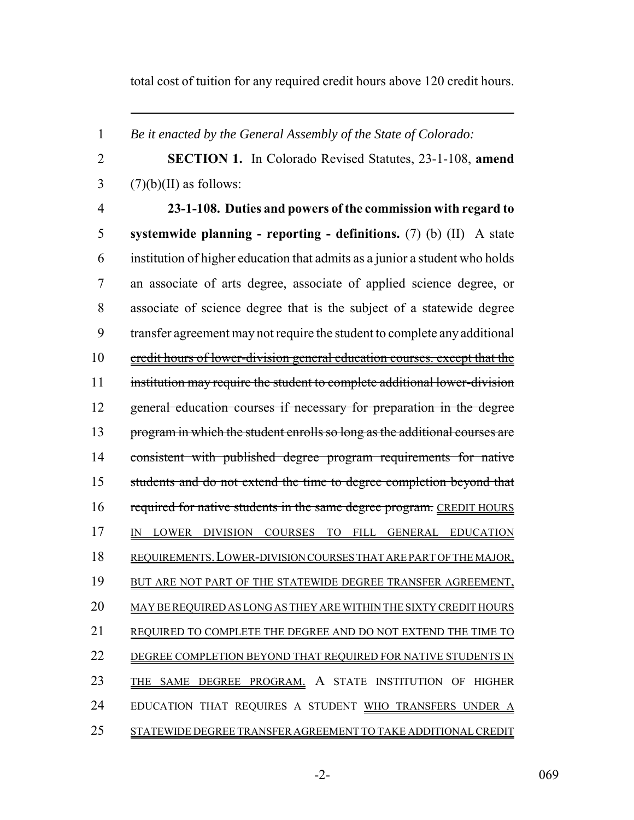total cost of tuition for any required credit hours above 120 credit hours.

*Be it enacted by the General Assembly of the State of Colorado:*

 **SECTION 1.** In Colorado Revised Statutes, 23-1-108, **amend** (7)(b)(II) as follows:

 **23-1-108. Duties and powers of the commission with regard to systemwide planning - reporting - definitions.** (7) (b) (II) A state institution of higher education that admits as a junior a student who holds an associate of arts degree, associate of applied science degree, or associate of science degree that is the subject of a statewide degree transfer agreement may not require the student to complete any additional credit hours of lower-division general education courses. except that the institution may require the student to complete additional lower-division general education courses if necessary for preparation in the degree program in which the student enrolls so long as the additional courses are consistent with published degree program requirements for native students and do not extend the time to degree completion beyond that 16 required for native students in the same degree program. CREDIT HOURS IN LOWER DIVISION COURSES TO FILL GENERAL EDUCATION REQUIREMENTS.LOWER-DIVISION COURSES THAT ARE PART OF THE MAJOR, 19 BUT ARE NOT PART OF THE STATEWIDE DEGREE TRANSFER AGREEMENT, MAY BE REQUIRED AS LONG AS THEY ARE WITHIN THE SIXTY CREDIT HOURS 21 REQUIRED TO COMPLETE THE DEGREE AND DO NOT EXTEND THE TIME TO DEGREE COMPLETION BEYOND THAT REQUIRED FOR NATIVE STUDENTS IN THE SAME DEGREE PROGRAM. A STATE INSTITUTION OF HIGHER EDUCATION THAT REQUIRES A STUDENT WHO TRANSFERS UNDER A STATEWIDE DEGREE TRANSFER AGREEMENT TO TAKE ADDITIONAL CREDIT